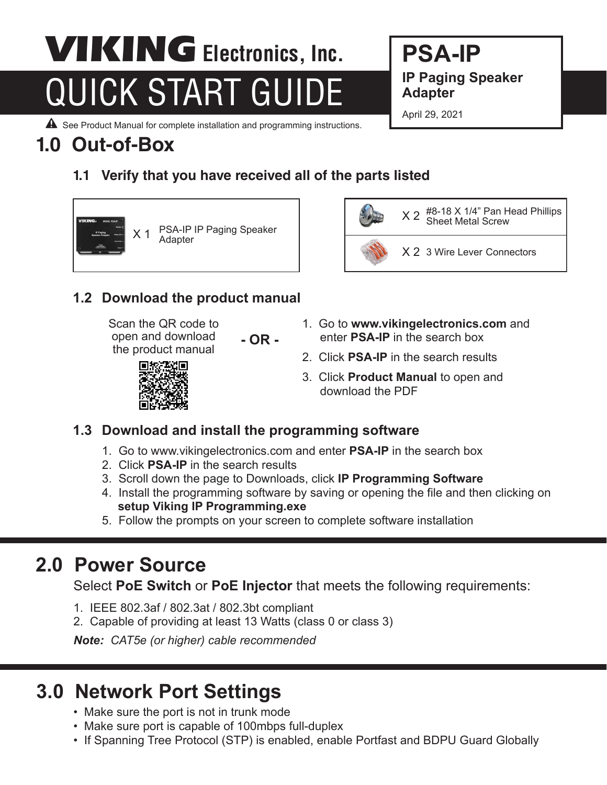# QUICK START GUIDE VIKING **Electronics, Inc.**

**PSA-IP IP Paging Speaker Adapter** 

April 29, 2021

 $\triangle$  See Product Manual for complete installation and programming instructions.

## **1.0 Out-of-Box**

#### **1.1 Verify that you have received all of the parts listed**





#### **1.2 Download the product manual**

Scan the QR code to open and download the product manual

- **OR -**
- 1. Go to **www.vikingelectronics.com** and enter **PSA-IP** in the search box
- 2. Click **PSA-IP** in the search results
- 3. Click **Product Manual** to open and download the PDF



#### **1.3 Download and install the programming software**

- 1. Go to www.vikingelectronics.com and enter **PSA-IP** in the search box
- 2. Click **PSA-IP** in the search results
- 3. Scroll down the page to Downloads, click **IP Programming Software**
- 4. Install the programming software by saving or opening the file and then clicking on **setup Viking IP Programming.exe**
- 5. Follow the prompts on your screen to complete software installation

## **2.0 Power Source**

Select **PoE Switch** or **PoE Injector** that meets the following requirements:

- 1. IEEE 802.3af / 802.3at / 802.3bt compliant
- 2. Capable of providing at least 13 Watts (class 0 or class 3)

*Note: CAT5e (or higher) cable recommended*

## **3.0 Network Port Settings**

- Make sure the port is not in trunk mode
- Make sure port is capable of 100mbps full-duplex
- If Spanning Tree Protocol (STP) is enabled, enable Portfast and BDPU Guard Globally